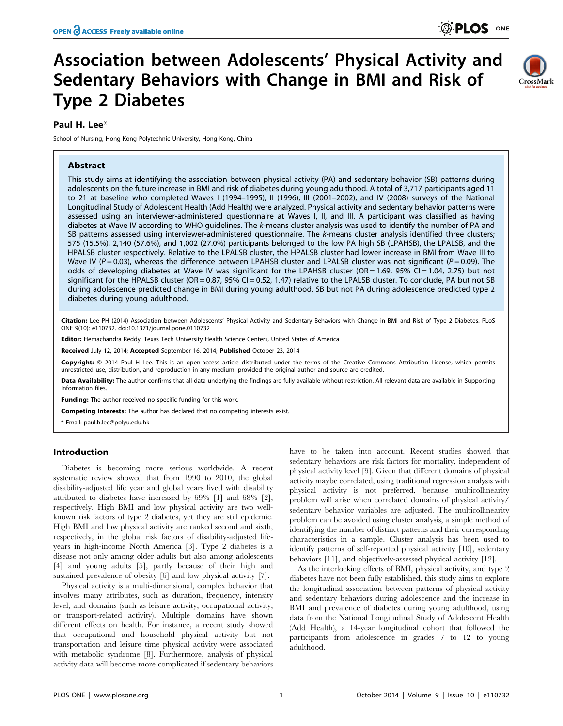# Association between Adolescents' Physical Activity and Sedentary Behaviors with Change in BMI and Risk of Type 2 Diabetes



## Paul H. Lee\*

School of Nursing, Hong Kong Polytechnic University, Hong Kong, China

## Abstract

This study aims at identifying the association between physical activity (PA) and sedentary behavior (SB) patterns during adolescents on the future increase in BMI and risk of diabetes during young adulthood. A total of 3,717 participants aged 11 to 21 at baseline who completed Waves I (1994–1995), II (1996), III (2001–2002), and IV (2008) surveys of the National Longitudinal Study of Adolescent Health (Add Health) were analyzed. Physical activity and sedentary behavior patterns were assessed using an interviewer-administered questionnaire at Waves I, II, and III. A participant was classified as having diabetes at Wave IV according to WHO guidelines. The k-means cluster analysis was used to identify the number of PA and SB patterns assessed using interviewer-administered questionnaire. The k-means cluster analysis identified three clusters; 575 (15.5%), 2,140 (57.6%), and 1,002 (27.0%) participants belonged to the low PA high SB (LPAHSB), the LPALSB, and the HPALSB cluster respectively. Relative to the LPALSB cluster, the HPALSB cluster had lower increase in BMI from Wave III to Wave IV ( $P = 0.03$ ), whereas the difference between LPAHSB cluster and LPALSB cluster was not significant ( $P = 0.09$ ). The odds of developing diabetes at Wave IV was significant for the LPAHSB cluster (OR = 1.69, 95% CI = 1.04, 2.75) but not significant for the HPALSB cluster (OR = 0.87, 95% CI = 0.52, 1.47) relative to the LPALSB cluster. To conclude, PA but not SB during adolescence predicted change in BMI during young adulthood. SB but not PA during adolescence predicted type 2 diabetes during young adulthood.

Citation: Lee PH (2014) Association between Adolescents' Physical Activity and Sedentary Behaviors with Change in BMI and Risk of Type 2 Diabetes. PLoS ONE 9(10): e110732. doi:10.1371/journal.pone.0110732

Editor: Hemachandra Reddy, Texas Tech University Health Science Centers, United States of America

Received July 12, 2014; Accepted September 16, 2014; Published October 23, 2014

Copyright: © 2014 Paul H Lee. This is an open-access article distributed under the terms of the [Creative Commons Attribution License](http://creativecommons.org/licenses/by/4.0/), which permits unrestricted use, distribution, and reproduction in any medium, provided the original author and source are credited.

Data Availability: The author confirms that all data underlying the findings are fully available without restriction. All relevant data are available in Supporting Information files.

**Funding:** The author received no specific funding for this work.

Competing Interests: The author has declared that no competing interests exist.

\* Email: paul.h.lee@polyu.edu.hk

## Introduction

Diabetes is becoming more serious worldwide. A recent systematic review showed that from 1990 to 2010, the global disability-adjusted life year and global years lived with disability attributed to diabetes have increased by 69% [1] and 68% [2], respectively. High BMI and low physical activity are two wellknown risk factors of type 2 diabetes, yet they are still epidemic. High BMI and low physical activity are ranked second and sixth, respectively, in the global risk factors of disability-adjusted lifeyears in high-income North America [3]. Type 2 diabetes is a disease not only among older adults but also among adolescents [4] and young adults [5], partly because of their high and sustained prevalence of obesity [6] and low physical activity [7].

Physical activity is a multi-dimensional, complex behavior that involves many attributes, such as duration, frequency, intensity level, and domains (such as leisure activity, occupational activity, or transport-related activity). Multiple domains have shown different effects on health. For instance, a recent study showed that occupational and household physical activity but not transportation and leisure time physical activity were associated with metabolic syndrome [8]. Furthermore, analysis of physical activity data will become more complicated if sedentary behaviors

have to be taken into account. Recent studies showed that sedentary behaviors are risk factors for mortality, independent of physical activity level [9]. Given that different domains of physical activity maybe correlated, using traditional regression analysis with physical activity is not preferred, because multicollinearity problem will arise when correlated domains of physical activity/ sedentary behavior variables are adjusted. The multicollinearity problem can be avoided using cluster analysis, a simple method of identifying the number of distinct patterns and their corresponding characteristics in a sample. Cluster analysis has been used to identify patterns of self-reported physical activity [10], sedentary behaviors [11], and objectively-assessed physical activity [12].

As the interlocking effects of BMI, physical activity, and type 2 diabetes have not been fully established, this study aims to explore the longitudinal association between patterns of physical activity and sedentary behaviors during adolescence and the increase in BMI and prevalence of diabetes during young adulthood, using data from the National Longitudinal Study of Adolescent Health (Add Health), a 14-year longitudinal cohort that followed the participants from adolescence in grades 7 to 12 to young adulthood.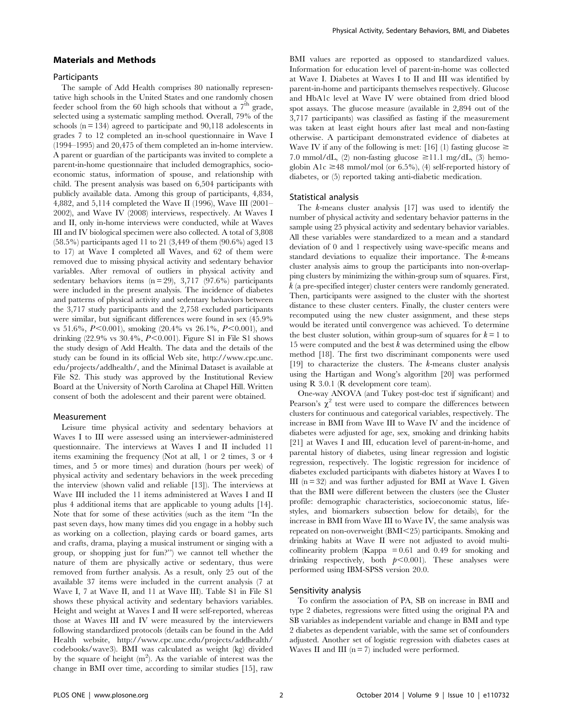### Materials and Methods

#### **Participants**

The sample of Add Health comprises 80 nationally representative high schools in the United States and one randomly chosen feeder school from the 60 high schools that without a  $7<sup>th</sup>$  grade, selected using a systematic sampling method. Overall, 79% of the schools  $(n = 134)$  agreed to participate and  $90,118$  adolescents in grades 7 to 12 completed an in-school questionnaire in Wave I (1994–1995) and 20,475 of them completed an in-home interview. A parent or guardian of the participants was invited to complete a parent-in-home questionnaire that included demographics, socioeconomic status, information of spouse, and relationship with child. The present analysis was based on 6,504 participants with publicly available data. Among this group of participants, 4,834, 4,882, and 5,114 completed the Wave II (1996), Wave III (2001– 2002), and Wave IV (2008) interviews, respectively. At Waves I and II, only in-home interviews were conducted, while at Waves III and IV biological specimen were also collected. A total of 3,808 (58.5%) participants aged 11 to 21 (3,449 of them (90.6%) aged 13 to 17) at Wave I completed all Waves, and 62 of them were removed due to missing physical activity and sedentary behavior variables. After removal of outliers in physical activity and sedentary behaviors items  $(n = 29)$ , 3,717 (97.6%) participants were included in the present analysis. The incidence of diabetes and patterns of physical activity and sedentary behaviors between the 3,717 study participants and the 2,758 excluded participants were similar, but significant differences were found in sex (45.9% vs 51.6%,  $P<0.001$ ), smoking (20.4% vs 26.1%,  $P<0.001$ ), and drinking  $(22.9\% \text{ vs } 30.4\%, P<0.001)$ . Figure S1 in File S1 shows the study design of Add Health. The data and the details of the study can be found in its official Web site, [http://www.cpc.unc.](http://www.cpc.unc.edu/projects/addhealth/) [edu/projects/addhealth/](http://www.cpc.unc.edu/projects/addhealth/), and the Minimal Dataset is available at File S2. This study was approved by the Institutional Review Board at the University of North Carolina at Chapel Hill. Written consent of both the adolescent and their parent were obtained.

#### Measurement

Leisure time physical activity and sedentary behaviors at Waves I to III were assessed using an interviewer-administered questionnaire. The interviews at Waves I and II included 11 items examining the frequency (Not at all, 1 or 2 times, 3 or 4 times, and 5 or more times) and duration (hours per week) of physical activity and sedentary behaviors in the week preceding the interview (shown valid and reliable [13]). The interviews at Wave III included the 11 items administered at Waves I and II plus 4 additional items that are applicable to young adults [14]. Note that for some of these activities (such as the item ''In the past seven days, how many times did you engage in a hobby such as working on a collection, playing cards or board games, arts and crafts, drama, playing a musical instrument or singing with a group, or shopping just for fun?'') we cannot tell whether the nature of them are physically active or sedentary, thus were removed from further analysis. As a result, only 25 out of the available 37 items were included in the current analysis (7 at Wave I, 7 at Wave II, and 11 at Wave III). Table S1 in File S1 shows these physical activity and sedentary behaviors variables. Height and weight at Waves I and II were self-reported, whereas those at Waves III and IV were measured by the interviewers following standardized protocols (details can be found in the Add Health website, [http://www.cpc.unc.edu/projects/addhealth/](http://www.cpc.unc.edu/projects/addhealth/codebooks/wave3) [codebooks/wave3\)](http://www.cpc.unc.edu/projects/addhealth/codebooks/wave3). BMI was calculated as weight (kg) divided by the square of height  $(m^2)$ . As the variable of interest was the change in BMI over time, according to similar studies [15], raw

BMI values are reported as opposed to standardized values. Information for education level of parent-in-home was collected at Wave I. Diabetes at Waves I to II and III was identified by parent-in-home and participants themselves respectively. Glucose and HbA1c level at Wave IV were obtained from dried blood spot assays. The glucose measure (available in 2,894 out of the 3,717 participants) was classified as fasting if the measurement was taken at least eight hours after last meal and non-fasting otherwise. A participant demonstrated evidence of diabetes at Wave IV if any of the following is met: [16] (1) fasting glucose  $\geq$ 7.0 mmol/dL, (2) non-fasting glucose  $\geq$ 11.1 mg/dL, (3) hemoglobin A1c  $\geq$ 48 mmol/mol (or 6.5%), (4) self-reported history of diabetes, or (5) reported taking anti-diabetic medication.

#### Statistical analysis

The k-means cluster analysis [17] was used to identify the number of physical activity and sedentary behavior patterns in the sample using 25 physical activity and sedentary behavior variables. All these variables were standardized to a mean and a standard deviation of 0 and 1 respectively using wave-specific means and standard deviations to equalize their importance. The k-means cluster analysis aims to group the participants into non-overlapping clusters by minimizing the within-group sum of squares. First, k (a pre-specified integer) cluster centers were randomly generated. Then, participants were assigned to the cluster with the shortest distance to these cluster centers. Finally, the cluster centers were recomputed using the new cluster assignment, and these steps would be iterated until convergence was achieved. To determine the best cluster solution, within group-sum of squares for  $k = 1$  to 15 were computed and the best  $k$  was determined using the elbow method [18]. The first two discriminant components were used [19] to characterize the clusters. The  $k$ -means cluster analysis using the Hartigan and Wong's algorithm [20] was performed using R 3.0.1 (R development core team).

One-way ANOVA (and Tukey post-doc test if significant) and Pearson's  $\chi^2$  test were used to compare the differences between clusters for continuous and categorical variables, respectively. The increase in BMI from Wave III to Wave IV and the incidence of diabetes were adjusted for age, sex, smoking and drinking habits [21] at Waves I and III, education level of parent-in-home, and parental history of diabetes, using linear regression and logistic regression, respectively. The logistic regression for incidence of diabetes excluded participants with diabetes history at Waves I to III  $(n = 32)$  and was further adjusted for BMI at Wave I. Given that the BMI were different between the clusters (see the Cluster profile: demographic characteristics, socioeconomic status, lifestyles, and biomarkers subsection below for details), for the increase in BMI from Wave III to Wave IV, the same analysis was repeated on non-overweight (BMI<25) participants. Smoking and drinking habits at Wave II were not adjusted to avoid multicollinearity problem (Kappa  $= 0.61$  and 0.49 for smoking and drinking respectively, both  $p<0.001$ ). These analyses were performed using IBM-SPSS version 20.0.

## Sensitivity analysis

To confirm the association of PA, SB on increase in BMI and type 2 diabetes, regressions were fitted using the original PA and SB variables as independent variable and change in BMI and type 2 diabetes as dependent variable, with the same set of confounders adjusted. Another set of logistic regression with diabetes cases at Waves II and III  $(n = 7)$  included were performed.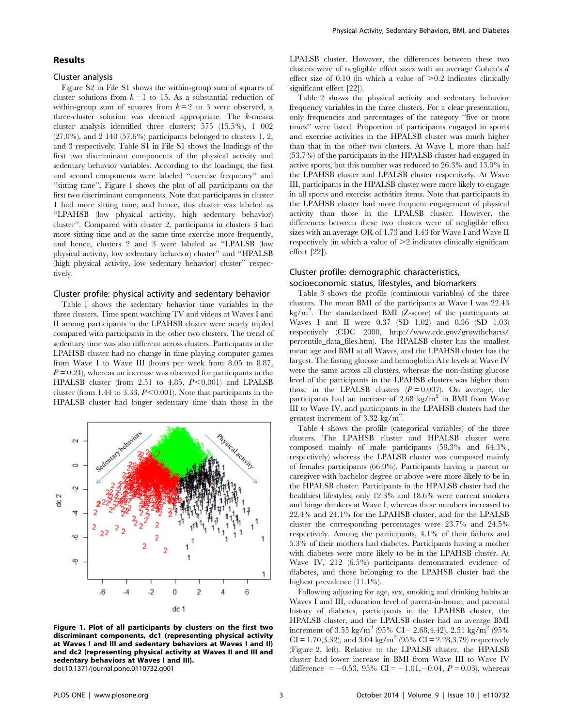### Results

#### Cluster analysis

Figure S2 in File S1 shows the within-group sum of squares of cluster solutions from  $k = 1$  to 15. As a substantial reduction of within-group sum of squares from  $k = 2$  to 3 were observed, a three-cluster solution was deemed appropriate. The  $k$ -means cluster analysis identified three clusters; 575 (15.5%), 1 002 (27.0%), and 2 140 (57.6%) participants belonged to clusters 1, 2, and 3 respectively. Table S1 in File S1 shows the loadings of the first two discriminant components of the physical activity and sedentary behavior variables. According to the loadings, the first and second components were labeled ''exercise frequency'' and ''sitting time''. Figure 1 shows the plot of all participants on the first two discriminant components. Note that participants in cluster 1 had more sitting time, and hence, this cluster was labeled as ''LPAHSB (low physical activity, high sedentary behavior) cluster''. Compared with cluster 2, participants in clusters 3 had more sitting time and at the same time exercise more frequently, and hence, clusters 2 and 3 were labeled as ''LPALSB (low physical activity, low sedentary behavior) cluster'' and ''HPALSB (high physical activity, low sedentary behavior) cluster'' respectively.

#### Cluster profile: physical activity and sedentary behavior

Table 1 shows the sedentary behavior time variables in the three clusters. Time spent watching TV and videos at Waves I and II among participants in the LPAHSB cluster were nearly tripled compared with participants in the other two clusters. The trend of sedentary time was also different across clusters. Participants in the LPAHSB cluster had no change in time playing computer games from Wave I to Wave III (hours per week from 8.05 to 8.87,  $P = 0.24$ ), whereas an increase was observed for participants in the HPALSB cluster (from 2.51 to 4.85,  $P \le 0.001$ ) and LPALSB cluster (from 1.44 to 3.33,  $P \le 0.001$ ). Note that participants in the HPALSB cluster had longer sedentary time than those in the



Figure 1. Plot of all participants by clusters on the first two discriminant components, dc1 (representing physical activity at Waves I and III and sedentary behaviors at Waves I and II) and dc2 (representing physical activity at Waves II and III and sedentary behaviors at Waves I and III). doi:10.1371/journal.pone.0110732.g001

LPALSB cluster. However, the differences between these two clusters were of negligible effect sizes with an average Cohen's d effect size of 0.10 (in which a value of  $>0.2$  indicates clinically significant effect [22]).

Table 2 shows the physical activity and sedentary behavior frequency variables in the three clusters. For a clear presentation, only frequencies and percentages of the category ''five or more times'' were listed. Proportion of participants engaged in sports and exercise activities in the HPALSB cluster was much higher than that in the other two clusters. At Wave I, more than half (53.7%) of the participants in the HPALSB cluster had engaged in active sports, but this number was reduced to 26.3% and 13.0% in the LPAHSB cluster and LPALSB cluster respectively. At Wave III, participants in the HPALSB cluster were more likely to engage in all sports and exercise activities items. Note that participants in the LPAHSB cluster had more frequent engagement of physical activity than those in the LPALSB cluster. However, the differences between these two clusters were of negligible effect sizes with an average OR of 1.73 and 1.43 for Wave I and Wave II respectively (in which a value of  $\geq$  2 indicates clinically significant effect [22]).

## Cluster profile: demographic characteristics, socioeconomic status, lifestyles, and biomarkers

Table 3 shows the profile (continuous variables) of the three clusters. The mean BMI of the participants at Wave I was 22.43 kg/m<sup>2</sup>. The standardized BMI (Z-score) of the participants at Waves I and II were 0.37 (SD 1.02) and 0.36 (SD 1.03) respectively (CDC 2000, [http://www.cdc.gov/growthcharts/](http://www.cdc.gov/growthcharts/percentile_data_files.htm) [percentile\\_data\\_files.htm\)](http://www.cdc.gov/growthcharts/percentile_data_files.htm). The HPALSB cluster has the smallest mean age and BMI at all Waves, and the LPAHSB cluster has the largest. The fasting glucose and hemoglobin A1c levels at Wave IV were the same across all clusters, whereas the non-fasting glucose level of the participants in the LPAHSB clusters was higher than those in the LPALSB clusters  $(P= 0.007)$ . On average, the participants had an increase of  $2.68 \text{ kg/m}^2$  in BMI from Wave III to Wave IV, and participants in the LPAHSB clusters had the greatest increment of 3.32 kg/m<sup>2</sup>.

Table 4 shows the profile (categorical variables) of the three clusters. The LPAHSB cluster and HPALSB cluster were composed mainly of male participants (58.3% and 64.3%, respectively) whereas the LPALSB cluster was composed mainly of females participants (66.0%). Participants having a parent or caregiver with bachelor degree or above were more likely to be in the HPALSB cluster. Participants in the HPALSB cluster had the healthiest lifestyles; only 12.3% and 18.6% were current smokers and binge drinkers at Wave I, whereas these numbers increased to 22.4% and 24.1% for the LPAHSB cluster, and for the LPALSB cluster the corresponding percentages were 23.7% and 24.5% respectively. Among the participants, 4.1% of their fathers and 5.3% of their mothers had diabetes. Participants having a mother with diabetes were more likely to be in the LPAHSB cluster. At Wave IV, 212 (6.5%) participants demonstrated evidence of diabetes, and those belonging to the LPAHSB cluster had the highest prevalence (11.1%).

Following adjusting for age, sex, smoking and drinking habits at Waves I and III, education level of parent-in-home, and parental history of diabetes, participants in the LPAHSB cluster, the HPALSB cluster, and the LPALSB cluster had an average BMI increment of 3.55 kg/m<sup>2</sup> (95% CI = 2.68,4.42), 2.51 kg/m<sup>2</sup> (95%  $CI = 1.70, 3.32$ , and  $3.04 \text{ kg/m}^2$  (95%  $CI = 2.28, 3.79$ ) respectively (Figure 2, left). Relative to the LPALSB cluster, the HPALSB cluster had lower increase in BMI from Wave III to Wave IV (difference = -0.53, 95% CI = -1.01, -0.04,  $P = 0.03$ ), whereas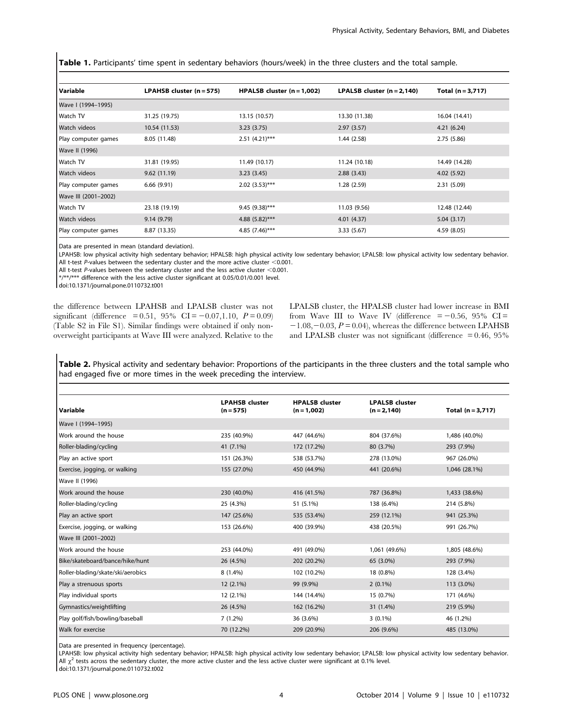Table 1. Participants' time spent in sedentary behaviors (hours/week) in the three clusters and the total sample.

| Variable             | LPAHSB cluster $(n = 575)$ | HPALSB cluster $(n = 1,002)$ | LPALSB cluster $(n = 2, 140)$ | Total $(n = 3, 717)$ |
|----------------------|----------------------------|------------------------------|-------------------------------|----------------------|
| Wave I (1994-1995)   |                            |                              |                               |                      |
| Watch TV             | 31.25 (19.75)              | 13.15 (10.57)                | 13.30 (11.38)                 | 16.04 (14.41)        |
| Watch videos         | 10.54 (11.53)              | 3.23(3.75)                   | 2.97(3.57)                    | 4.21(6.24)           |
| Play computer games  | 8.05 (11.48)               | $2.51(4.21)$ ***             | 1.44(2.58)                    | 2.75(5.86)           |
| Wave II (1996)       |                            |                              |                               |                      |
| Watch TV             | 31.81 (19.95)              | 11.49 (10.17)                | 11.24 (10.18)                 | 14.49 (14.28)        |
| Watch videos         | 9.62(11.19)                | 3.23(3.45)                   | 2.88(3.43)                    | 4.02(5.92)           |
| Play computer games  | 6.66(9.91)                 | $2.02(3.53)$ ***             | 1.28(2.59)                    | 2.31(5.09)           |
| Wave III (2001-2002) |                            |                              |                               |                      |
| Watch TV             | 23.18 (19.19)              | $9.45(9.38)$ ***             | 11.03 (9.56)                  | 12.48 (12.44)        |
| Watch videos         | 9.14(9.79)                 | 4.88 $(5.82)$ ***            | 4.01 (4.37)                   | 5.04(3.17)           |
| Play computer games  | 8.87 (13.35)               | 4.85 $(7.46)$ ***            | 3.33(5.67)                    | 4.59 (8.05)          |

Data are presented in mean (standard deviation).

LPAHSB: low physical activity high sedentary behavior; HPALSB: high physical activity low sedentary behavior; LPALSB: low physical activity low sedentary behavior. All t-test P-values between the sedentary cluster and the more active cluster  $<$  0.001.

All t-test P-values between the sedentary cluster and the less active cluster  $<$  0.001.

\*/\*\*/\*\*\* difference with the less active cluster significant at 0.05/0.01/0.001 level.

doi:10.1371/journal.pone.0110732.t001

the difference between LPAHSB and LPALSB cluster was not significant (difference = 0.51, 95% CI =  $-0.07,1.10$ ,  $P = 0.09$ ) (Table S2 in File S1). Similar findings were obtained if only nonoverweight participants at Wave III were analyzed. Relative to the LPALSB cluster, the HPALSB cluster had lower increase in BMI from Wave III to Wave IV (difference  $= -0.56, 95\%$  CI =  $-1.08, -0.03, P = 0.04$ , whereas the difference between LPAHSB and LPALSB cluster was not significant (difference  $= 0.46, 95\%$ 

Table 2. Physical activity and sedentary behavior: Proportions of the participants in the three clusters and the total sample who had engaged five or more times in the week preceding the interview.

| Variable                          | <b>LPAHSB cluster</b><br>$(n = 575)$ | <b>HPALSB cluster</b><br>$(n = 1,002)$ | <b>LPALSB cluster</b><br>$(n = 2, 140)$ | Total $(n = 3, 717)$ |
|-----------------------------------|--------------------------------------|----------------------------------------|-----------------------------------------|----------------------|
| Wave I (1994-1995)                |                                      |                                        |                                         |                      |
| Work around the house             | 235 (40.9%)                          | 447 (44.6%)                            | 804 (37.6%)                             | 1,486 (40.0%)        |
| Roller-blading/cycling            | 41 (7.1%)                            | 172 (17.2%)                            | 80 (3.7%)                               | 293 (7.9%)           |
| Play an active sport              | 151 (26.3%)                          | 538 (53.7%)                            | 278 (13.0%)                             | 967 (26.0%)          |
| Exercise, jogging, or walking     | 155 (27.0%)                          | 450 (44.9%)                            | 441 (20.6%)                             | 1,046 (28.1%)        |
| Wave II (1996)                    |                                      |                                        |                                         |                      |
| Work around the house             | 230 (40.0%)                          | 416 (41.5%)                            | 787 (36.8%)                             | 1,433 (38.6%)        |
| Roller-blading/cycling            | 25 (4.3%)                            | 51 (5.1%)                              | 138 (6.4%)                              | 214 (5.8%)           |
| Play an active sport              | 147 (25.6%)                          | 535 (53.4%)                            | 259 (12.1%)                             | 941 (25.3%)          |
| Exercise, jogging, or walking     | 153 (26.6%)                          | 400 (39.9%)                            | 438 (20.5%)                             | 991 (26.7%)          |
| Wave III (2001-2002)              |                                      |                                        |                                         |                      |
| Work around the house             | 253 (44.0%)                          | 491 (49.0%)                            | 1,061 (49.6%)                           | 1,805 (48.6%)        |
| Bike/skateboard/bance/hike/hunt   | 26 (4.5%)                            | 202 (20.2%)                            | 65 (3.0%)                               | 293 (7.9%)           |
| Roller-blading/skate/ski/aerobics | 8 (1.4%)                             | 102 (10.2%)                            | 18 (0.8%)                               | 128 (3.4%)           |
| Play a strenuous sports           | $12(2.1\%)$                          | 99 (9.9%)                              | $2(0.1\%)$                              | 113 (3.0%)           |
| Play individual sports            | 12 (2.1%)                            | 144 (14.4%)                            | 15 (0.7%)                               | 171 (4.6%)           |
| Gymnastics/weightlifting          | 26 (4.5%)                            | 162 (16.2%)                            | 31 (1.4%)                               | 219 (5.9%)           |
| Play golf/fish/bowling/baseball   | 7(1.2%)                              | 36 (3.6%)                              | $3(0.1\%)$                              | 46 (1.2%)            |
| Walk for exercise                 | 70 (12.2%)                           | 209 (20.9%)                            | 206 (9.6%)                              | 485 (13.0%)          |

Data are presented in frequency (percentage).

LPAHSB: low physical activity high sedentary behavior; HPALSB: high physical activity low sedentary behavior; LPALSB: low physical activity low sedentary behavior. All  $\chi^2$  tests across the sedentary cluster, the more active cluster and the less active cluster were significant at 0.1% level.

doi:10.1371/journal.pone.0110732.t002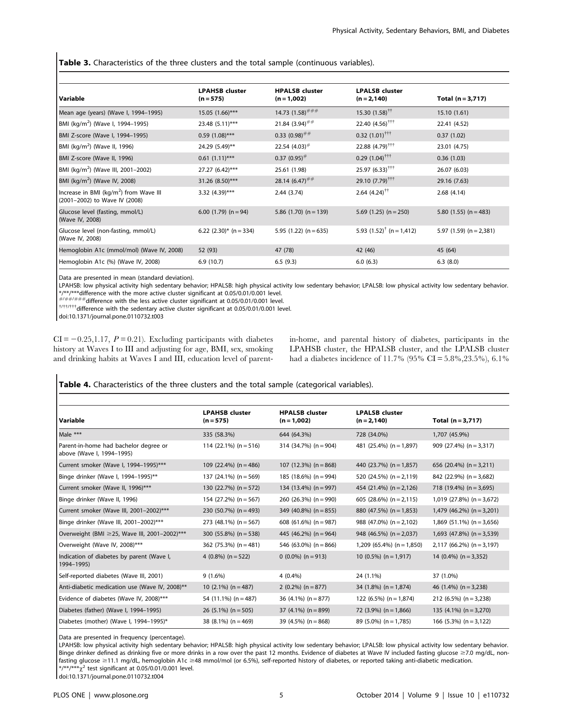### Table 3. Characteristics of the three clusters and the total sample (continuous variables).

| Variable                                                                            | <b>LPAHSB cluster</b><br>$(n = 575)$ | <b>HPALSB cluster</b><br>$(n = 1,002)$ | <b>LPALSB cluster</b><br>$(n = 2, 140)$ | Total $(n = 3, 717)$        |
|-------------------------------------------------------------------------------------|--------------------------------------|----------------------------------------|-----------------------------------------|-----------------------------|
| Mean age (years) (Wave I, 1994-1995)                                                | $15.05(1.66)$ ***                    | 14.73 $(1.58)$ <sup>###</sup>          | $15.30(1.58)$ <sup>††</sup>             | 15.10 (1.61)                |
| BMI (kg/m <sup>2</sup> ) (Wave I, 1994–1995)                                        | 23.48 (5.11)***                      | 21.84 $(3.94)$ <sup>##</sup>           | 22.40 $(4.56)$ <sup>†††</sup>           | 22.41 (4.52)                |
| BMI Z-score (Wave I, 1994-1995)                                                     | $0.59(1.08)$ ***                     | $0.33(0.98)$ <sup>##</sup>             | $0.32(1.01)$ <sup>†††</sup>             | 0.37(1.02)                  |
| BMI (kg/m <sup>2</sup> ) (Wave II, 1996)                                            | 24.29 (5.49)**                       | 22.54 $(4.03)$ <sup>#</sup>            | $22.88(4.79)$ <sup>†††</sup>            | 23.01 (4.75)                |
| BMI Z-score (Wave II, 1996)                                                         | $0.61(1.11)$ ***                     | $0.37(0.95)$ <sup>#</sup>              | $0.29(1.04)$ <sup>†††</sup>             | 0.36(1.03)                  |
| BMI (kg/m <sup>2</sup> ) (Wave III, 2001-2002)                                      | $27.27(6.42)$ ***                    | 25.61 (1.98)                           | $25.97(6.33)$ <sup>†††</sup>            | 26.07 (6.03)                |
| BMI (kg/m <sup>2</sup> ) (Wave IV, 2008)                                            | 31.26 (8.50)***                      | 28.14 $(6.47)$ <sup>##</sup>           | 29.10 $(7.79)$ <sup>†††</sup>           | 29.16 (7.63)                |
| Increase in BMI (kg/m <sup>2</sup> ) from Wave III<br>(2001-2002) to Wave IV (2008) | 3.32 $(4.39)$ ***                    | 2.44(3.74)                             | $2.64$ $(4.24)$ <sup>††</sup>           | 2.68(4.14)                  |
| Glucose level (fasting, mmol/L)<br>(Wave IV, 2008)                                  | 6.00 $(1.79)$ (n = 94)               | 5.86 $(1.70)$ (n = 139)                | $5.69$ (1.25) (n = 250)                 | 5.80 $(1.55)$ (n = 483)     |
| Glucose level (non-fasting, mmol/L)<br>(Wave IV, 2008)                              | 6.22 $(2.30)^*$ (n = 334)            | 5.95 $(1.22)$ $(n = 635)$              | 5.93 $(1.52)^{\dagger}$ (n = 1,412)     | 5.97 $(1.59)$ $(n = 2,381)$ |
| Hemoglobin A1c (mmol/mol) (Wave IV, 2008)                                           | 52 (93)                              | 47 (78)                                | 42 (46)                                 | 45 (64)                     |
| Hemoglobin A1c (%) (Wave IV, 2008)                                                  | 6.9(10.7)                            | 6.5(9.3)                               | 6.0(6.3)                                | 6.3(8.0)                    |

Data are presented in mean (standard deviation).

LPAHSB: low physical activity high sedentary behavior; HPALSB: high physical activity low sedentary behavior; LPALSB: low physical activity low sedentary behavior. \*/\*\*/\*\*\*difference with the more active cluster significant at 0.05/0.01/0.001 level.

 $H/H+H+H$  difference with the less active cluster significant at 0.05/0.01/0.001 level.<br> $1/H+H+H$  difference with the sedentary active cluster significant at 0.05/0.01/0.001 level.

doi:10.1371/journal.pone.0110732.t003

 $CI = -0.25,1.17, P = 0.21$ . Excluding participants with diabetes history at Waves I to III and adjusting for age, BMI, sex, smoking and drinking habits at Waves I and III, education level of parentin-home, and parental history of diabetes, participants in the LPAHSB cluster, the HPALSB cluster, and the LPALSB cluster had a diabetes incidence of 11.7% (95% CI = 5.8%,23.5%), 6.1%

## Table 4. Characteristics of the three clusters and the total sample (categorical variables).

| Variable                                                           | <b>LPAHSB cluster</b><br>$(n = 575)$ | <b>HPALSB cluster</b><br>$(n = 1,002)$ | <b>LPALSB cluster</b><br>$(n = 2, 140)$ | Total $(n = 3, 717)$        |
|--------------------------------------------------------------------|--------------------------------------|----------------------------------------|-----------------------------------------|-----------------------------|
| Male $***$                                                         | 335 (58.3%)                          | 644 (64.3%)                            | 728 (34.0%)                             | 1,707 (45.9%)               |
| Parent-in-home had bachelor degree or<br>above (Wave I, 1994-1995) | 114 (22.1%) $(n = 516)$              | 314 (34.7%) $(n = 904)$                | 481 (25.4%) ( $n = 1,897$ )             | 909 (27.4%) $(n = 3.317)$   |
| Current smoker (Wave I, 1994-1995)***                              | 109 (22.4%) $(n = 486)$              | 107 (12.3%) $(n = 868)$                | 440 (23.7%) $(n = 1.857)$               | 656 (20.4%) $(n = 3,211)$   |
| Binge drinker (Wave I, 1994-1995)**                                | 137 (24.1%) (n = 569)                | 185 (18.6%) (n = 994)                  | 520 $(24.5\%)$ (n = 2,119)              | 842 (22.9%) ( $n = 3.682$ ) |
| Current smoker (Wave II, 1996)***                                  | 130 $(22.7%)$ (n = 572)              | 134 (13.4%) (n = 997)                  | 454 (21.4%) $(n = 2,126)$               | 718 (19.4%) (n = 3,695)     |
| Binge drinker (Wave II, 1996)                                      | 154 (27.2%) ( $n = 567$ )            | $260$ (26.3%) (n = 990)                | 605 (28.6%) $(n = 2, 115)$              | $1,019$ (27.8%) (n = 3,672) |
| Current smoker (Wave III, 2001-2002)***                            | 230 (50.7%) ( $n = 493$ )            | 349 (40.8%) ( $n = 855$ )              | 880 (47.5%) $(n = 1.853)$               | $1,479$ (46.2%) (n = 3,201) |
| Binge drinker (Wave III, 2001-2002)***                             | 273 (48.1%) ( $n = 567$ )            | 608 (61.6%) ( $n = 987$ )              | 988 (47.0%) $(n = 2,102)$               | $1,869$ (51.1%) (n = 3,656) |
| Overweight (BMI ≥25, Wave III, 2001-2002)***                       | 300 (55.8%) $(n = 538)$              | 445 (46.2%) ( $n = 964$ )              | 948 (46.5%) ( $n = 2.037$ )             | $1,693$ (47.8%) (n = 3,539) |
| Overweight (Wave IV, 2008)***                                      | $362$ (75.3%) (n = 481)              | 546 (63.0%) ( $n = 866$ )              | $1,209$ (65.4%) (n = 1,850)             | $2,117$ (66.2%) (n = 3,197) |
| Indication of diabetes by parent (Wave I,<br>1994-1995)            | 4 $(0.8\%)$ (n = 522)                | $(0.0\%)$ (n = 913)                    | 10 $(0.5\%)$ $(n = 1.917)$              | 14 $(0.4\%)$ (n = 3,352)    |
| Self-reported diabetes (Wave III, 2001)                            | 9(1.6%)                              | $4(0.4\%)$                             | 24 (1.1%)                               | 37 (1.0%)                   |
| Anti-diabetic medication use (Wave IV, 2008)**                     | 10 $(2.1\%)$ (n = 487)               | 2 $(0.2\%)$ $(n = 877)$                | 34 $(1.8\%)$ (n = 1,874)                | 46 $(1.4\%)$ $(n = 3.238)$  |
| Evidence of diabetes (Wave IV, 2008)***                            | 54 $(11.1\%)$ (n = 487)              | 36 (4.1%) $(n = 877)$                  | 122 (6.5%) ( $n = 1,874$ )              | $212(6.5\%)$ (n = 3,238)    |
| Diabetes (father) (Wave I, 1994-1995)                              | 26 (5.1%) ( $n = 505$ )              | 37 $(4.1\%)$ (n = 899)                 | 72 $(3.9\%)$ (n = 1,866)                | 135 $(4.1\%)$ (n = 3,270)   |
| Diabetes (mother) (Wave I, 1994-1995)*                             | 38 (8.1%) ( $n = 469$ )              | 39 (4.5%) ( $n = 868$ )                | $89(5.0\%)$ (n = 1,785)                 | 166 $(5.3\%)$ (n = 3,122)   |

Data are presented in frequency (percentage).

LPAHSB: low physical activity high sedentary behavior; HPALSB: high physical activity low sedentary behavior; LPALSB: low physical activity low sedentary behavior. Binge drinker defined as drinking five or more drinks in a row over the past 12 months. Evidence of diabetes at Wave IV included fasting glucose ≥7.0 mg/dL, nonfasting glucose ≥11.1 mg/dL, hemoglobin A1c ≥48 mmol/mol (or 6.5%), self-reported history of diabetes, or reported taking anti-diabetic medication.  $*$ /\*\*/\*\*\* $\chi^2$  test significant at 0.05/0.01/0.001 level.

doi:10.1371/journal.pone.0110732.t004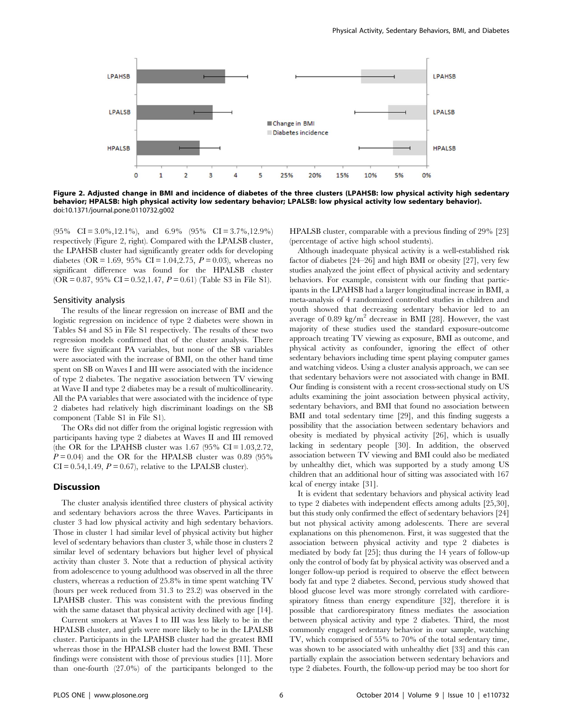

Figure 2. Adjusted change in BMI and incidence of diabetes of the three clusters (LPAHSB: low physical activity high sedentary behavior; HPALSB: high physical activity low sedentary behavior; LPALSB: low physical activity low sedentary behavior). doi:10.1371/journal.pone.0110732.g002

 $(95\% \text{ CI} = 3.0\%, 12.1\%), \text{ and } 6.9\% \text{ CI} = 3.7\%, 12.9\%)$ respectively (Figure 2, right). Compared with the LPALSB cluster, the LPAHSB cluster had significantly greater odds for developing diabetes (OR = 1.69, 95% CI = 1.04, 2.75,  $P = 0.03$ ), whereas no significant difference was found for the HPALSB cluster (OR = 0.87, 95% CI = 0.52, 1.47,  $P = 0.61$ ) (Table S3 in File S1).

#### Sensitivity analysis

The results of the linear regression on increase of BMI and the logistic regression on incidence of type 2 diabetes were shown in Tables S4 and S5 in File S1 respectively. The results of these two regression models confirmed that of the cluster analysis. There were five significant PA variables, but none of the SB variables were associated with the increase of BMI, on the other hand time spent on SB on Waves I and III were associated with the incidence of type 2 diabetes. The negative association between TV viewing at Wave II and type 2 diabetes may be a result of multicollinearity. All the PA variables that were associated with the incidence of type 2 diabetes had relatively high discriminant loadings on the SB component (Table S1 in File S1).

The ORs did not differ from the original logistic regression with participants having type 2 diabetes at Waves II and III removed (the OR for the LPAHSB cluster was 1.67 (95% CI =  $1.03,2.72$ ,  $P = 0.04$ ) and the OR for the HPALSB cluster was 0.89 (95%)  $CI = 0.54, 1.49, P = 0.67$ , relative to the LPALSB cluster).

## Discussion

The cluster analysis identified three clusters of physical activity and sedentary behaviors across the three Waves. Participants in cluster 3 had low physical activity and high sedentary behaviors. Those in cluster 1 had similar level of physical activity but higher level of sedentary behaviors than cluster 3, while those in clusters 2 similar level of sedentary behaviors but higher level of physical activity than cluster 3. Note that a reduction of physical activity from adolescence to young adulthood was observed in all the three clusters, whereas a reduction of 25.8% in time spent watching TV (hours per week reduced from 31.3 to 23.2) was observed in the LPAHSB cluster. This was consistent with the previous finding with the same dataset that physical activity declined with age [14].

Current smokers at Waves I to III was less likely to be in the HPALSB cluster, and girls were more likely to be in the LPALSB cluster. Participants in the LPAHSB cluster had the greatest BMI whereas those in the HPALSB cluster had the lowest BMI. These findings were consistent with those of previous studies [11]. More than one-fourth (27.0%) of the participants belonged to the

HPALSB cluster, comparable with a previous finding of 29% [23] (percentage of active high school students).

Although inadequate physical activity is a well-established risk factor of diabetes [24–26] and high BMI or obesity [27], very few studies analyzed the joint effect of physical activity and sedentary behaviors. For example, consistent with our finding that participants in the LPAHSB had a larger longitudinal increase in BMI, a meta-analysis of 4 randomized controlled studies in children and youth showed that decreasing sedentary behavior led to an average of  $0.89 \text{ kg/m}^2$  decrease in BMI [28]. However, the vast majority of these studies used the standard exposure-outcome approach treating TV viewing as exposure, BMI as outcome, and physical activity as confounder, ignoring the effect of other sedentary behaviors including time spent playing computer games and watching videos. Using a cluster analysis approach, we can see that sedentary behaviors were not associated with change in BMI. Our finding is consistent with a recent cross-sectional study on US adults examining the joint association between physical activity, sedentary behaviors, and BMI that found no association between BMI and total sedentary time [29], and this finding suggests a possibility that the association between sedentary behaviors and obesity is mediated by physical activity [26], which is usually lacking in sedentary people [30]. In addition, the observed association between TV viewing and BMI could also be mediated by unhealthy diet, which was supported by a study among US children that an additional hour of sitting was associated with 167 kcal of energy intake [31].

It is evident that sedentary behaviors and physical activity lead to type 2 diabetes with independent effects among adults [25,30], but this study only confirmed the effect of sedentary behaviors [24] but not physical activity among adolescents. There are several explanations on this phenomenon. First, it was suggested that the association between physical activity and type 2 diabetes is mediated by body fat [25]; thus during the 14 years of follow-up only the control of body fat by physical activity was observed and a longer follow-up period is required to observe the effect between body fat and type 2 diabetes. Second, pervious study showed that blood glucose level was more strongly correlated with cardiorespiratory fitness than energy expenditure [32], therefore it is possible that cardiorespiratory fitness mediates the association between physical activity and type 2 diabetes. Third, the most commonly engaged sedentary behavior in our sample, watching TV, which comprised of 55% to 70% of the total sedentary time, was shown to be associated with unhealthy diet [33] and this can partially explain the association between sedentary behaviors and type 2 diabetes. Fourth, the follow-up period may be too short for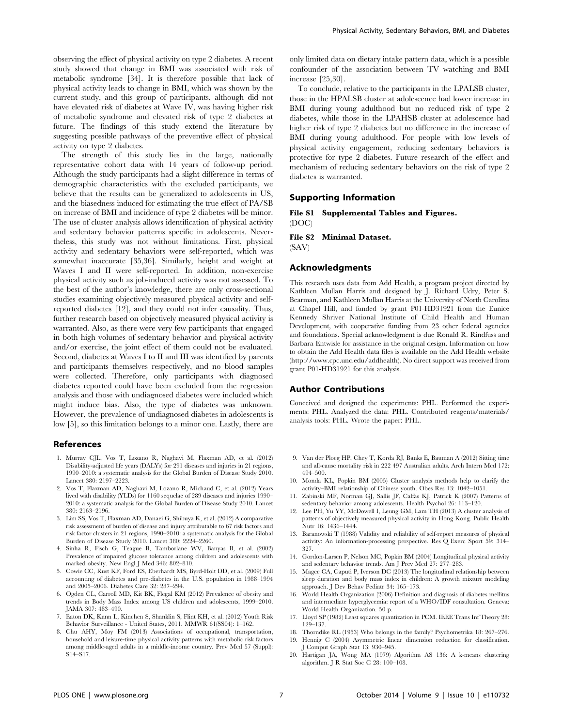observing the effect of physical activity on type 2 diabetes. A recent study showed that change in BMI was associated with risk of metabolic syndrome [34]. It is therefore possible that lack of physical activity leads to change in BMI, which was shown by the current study, and this group of participants, although did not have elevated risk of diabetes at Wave IV, was having higher risk of metabolic syndrome and elevated risk of type 2 diabetes at future. The findings of this study extend the literature by suggesting possible pathways of the preventive effect of physical activity on type 2 diabetes.

The strength of this study lies in the large, nationally representative cohort data with 14 years of follow-up period. Although the study participants had a slight difference in terms of demographic characteristics with the excluded participants, we believe that the results can be generalized to adolescents in US, and the biasedness induced for estimating the true effect of PA/SB on increase of BMI and incidence of type 2 diabetes will be minor. The use of cluster analysis allows identification of physical activity and sedentary behavior patterns specific in adolescents. Nevertheless, this study was not without limitations. First, physical activity and sedentary behaviors were self-reported, which was somewhat inaccurate [35,36]. Similarly, height and weight at Waves I and II were self-reported. In addition, non-exercise physical activity such as job-induced activity was not assessed. To the best of the author's knowledge, there are only cross-sectional studies examining objectively measured physical activity and selfreported diabetes [12], and they could not infer causality. Thus, further research based on objectively measured physical activity is warranted. Also, as there were very few participants that engaged in both high volumes of sedentary behavior and physical activity and/or exercise, the joint effect of them could not be evaluated. Second, diabetes at Waves I to II and III was identified by parents and participants themselves respectively, and no blood samples were collected. Therefore, only participants with diagnosed diabetes reported could have been excluded from the regression analysis and those with undiagnosed diabetes were included which might induce bias. Also, the type of diabetes was unknown. However, the prevalence of undiagnosed diabetes in adolescents is low [5], so this limitation belongs to a minor one. Lastly, there are

#### References

- 1. Murray CJL, Vos T, Lozano R, Naghavi M, Flaxman AD, et al. (2012) Disability-adjusted life years (DALYs) for 291 diseases and injuries in 21 regions, 1990–2010: a systematic analysis for the Global Burden of Disease Study 2010. Lancet 380: 2197–2223.
- 2. Vos T, Flaxman AD, Naghavi M, Lozano R, Michaud C, et al. (2012) Years lived with disability (YLDs) for 1160 sequelae of 289 diseases and injuries 1990– 2010: a systematic analysis for the Global Burden of Disease Study 2010. Lancet 380: 2163–2196.
- 3. Lim SS, Vos T, Flaxman AD, Danaei G, Shibuya K, et al. (2012) A comparative risk assessment of burden of disease and injury attributable to 67 risk factors and risk factor clusters in 21 regions, 1990–2010: a systematic analysis for the Global Burden of Disease Study 2010. Lancet 380: 2224–2260.
- 4. Sinha R, Fisch G, Teague B, Tamborlane WV, Banyas B, et al. (2002) Prevalence of impaired glucose tolerance among children and adolescents with marked obesity. New Engl J Med 346: 802–810.
- 5. Cowie CC, Rust KF, Ford ES, Eberhardt MS, Byrd-Holt DD, et al. (2009) Full accounting of diabetes and pre-diabetes in the U.S. population in 1988–1994 and 2005–2006. Diabetes Care 32: 287–294.
- 6. Ogden CL, Carroll MD, Kit BK, Flegal KM (2012) Prevalence of obesity and trends in Body Mass Index among US children and adolescents, 1999–2010. JAMA 307: 483–490.
- 7. Eaton DK, Kann L, Kinchen S, Shanklin S, Flint KH, et al. (2012) Youth Risk Behavior Surveillance - United States, 2011. MMWR 61(SS04): 1–162.
- 8. Chu AHY, Moy FM (2013) Associations of occupational, transportation, household and leisure-time physical activity patterns with metabolic risk factors among middle-aged adults in a middle-income country. Prev Med 57 (Suppl): S14–S17.

only limited data on dietary intake pattern data, which is a possible confounder of the association between TV watching and BMI increase [25,30].

To conclude, relative to the participants in the LPALSB cluster, those in the HPALSB cluster at adolescence had lower increase in BMI during young adulthood but no reduced risk of type 2 diabetes, while those in the LPAHSB cluster at adolescence had higher risk of type 2 diabetes but no difference in the increase of BMI during young adulthood. For people with low levels of physical activity engagement, reducing sedentary behaviors is protective for type 2 diabetes. Future research of the effect and mechanism of reducing sedentary behaviors on the risk of type 2 diabetes is warranted.

#### Supporting Information

File S1 Supplemental Tables and Figures. (DOC)

#### File S2 Minimal Dataset. (SAV)

#### Acknowledgments

This research uses data from Add Health, a program project directed by Kathleen Mullan Harris and designed by J. Richard Udry, Peter S. Bearman, and Kathleen Mullan Harris at the University of North Carolina at Chapel Hill, and funded by grant P01-HD31921 from the Eunice Kennedy Shriver National Institute of Child Health and Human Development, with cooperative funding from 23 other federal agencies and foundations. Special acknowledgment is due Ronald R. Rindfuss and Barbara Entwisle for assistance in the original design. Information on how to obtain the Add Health data files is available on the Add Health website [\(http://www.cpc.unc.edu/addhealth\)](http://www.cpc.unc.edu/addhealth). No direct support was received from grant P01-HD31921 for this analysis.

## Author Contributions

Conceived and designed the experiments: PHL. Performed the experiments: PHL. Analyzed the data: PHL. Contributed reagents/materials/ analysis tools: PHL. Wrote the paper: PHL.

- 9. Van der Ploeg HP, Chey T, Korda RJ, Banks E, Bauman A (2012) Sitting time and all-cause mortality risk in 222 497 Australian adults. Arch Intern Med 172: 494–500.
- 10. Monda KL, Popkin BM (2005) Cluster analysis methods help to clarify the activity–BMI relationship of Chinese youth. Obes Res 13: 1042–1051.
- 11. Zabinski MF, Norman GJ, Sallis JF, Calfas KJ, Patrick K (2007) Patterns of sedentary behavior among adolescents. Health Psychol 26: 113–120.
- 12. Lee PH, Yu YY, McDowell I, Leung GM, Lam TH (2013) A cluster analysis of patterns of objectively measured physical activity in Hong Kong. Public Health Nutr 16: 1436–1444.
- 13. Baranowski T (1988) Validity and reliability of self-report measures of physical activity: An information-processing perspective. Res Q Exerc Sport 59: 314– 327.
- 14. Gordon-Larsen P, Nelson MC, Popkin BM (2004) Longitudinal physical activity and sedentary behavior trends. Am J Prev Med 27: 277–283.
- 15. Magee CA, Caputi P, Iverson DC (2013) The longitudinal relationship between sleep duration and body mass index in children: A growth mixture modeling approach. J Dev Behav Pediatr 34: 165–173.
- 16. World Health Organization (2006) Definition and diagnosis of diabetes mellitus and intermediate hyperglycemia: report of a WHO/IDF consultation. Geneva: World Health Organization. 50 p.
- 17. Lloyd SP (1982) Least squares quantization in PCM. IEEE Trans Inf Theory 28: 129–137.
- 18. Thorndike RL (1953) Who belongs in the family? Psychometrika 18: 267–276. 19. Hennig C (2004) Asymmetric linear dimension reduction for classification.
- J Comput Graph Stat 13: 930–945. 20. Hartigan JA, Wong MA (1979) Algorithm AS 136: A k-means clustering
- algorithm. J R Stat Soc C 28: 100–108.